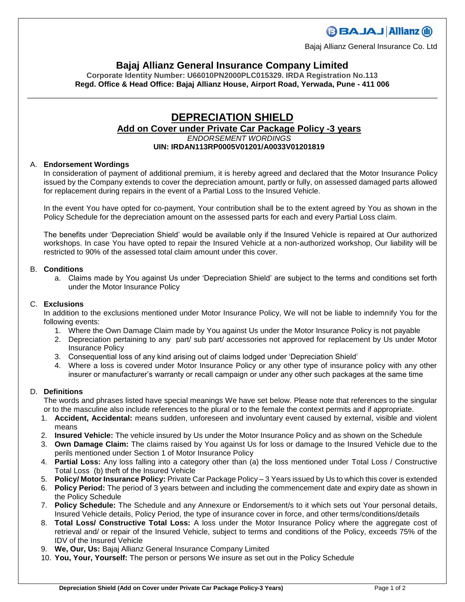## **BBAJAJ Allianz (il)**

Bajaj Allianz General Insurance Co. Ltd

### **Bajaj Allianz General Insurance Company Limited**

**Corporate Identity Number: U66010PN2000PLC015329. IRDA Registration No.113 Regd. Office & Head Office: Bajaj Allianz House, Airport Road, Yerwada, Pune - 411 006**

#### **DEPRECIATION SHIELD Add on Cover under Private Car Package Policy -3 years** *ENDORSEMENT WORDINGS* **UIN: IRDAN113RP0005V01201/A0033V01201819**

#### A. **Endorsement Wordings**

In consideration of payment of additional premium, it is hereby agreed and declared that the Motor Insurance Policy issued by the Company extends to cover the depreciation amount, partly or fully, on assessed damaged parts allowed for replacement during repairs in the event of a Partial Loss to the Insured Vehicle.

In the event You have opted for co-payment, Your contribution shall be to the extent agreed by You as shown in the Policy Schedule for the depreciation amount on the assessed parts for each and every Partial Loss claim.

The benefits under 'Depreciation Shield' would be available only if the Insured Vehicle is repaired at Our authorized workshops. In case You have opted to repair the Insured Vehicle at a non-authorized workshop, Our liability will be restricted to 90% of the assessed total claim amount under this cover.

#### B. **Conditions**

a. Claims made by You against Us under 'Depreciation Shield' are subject to the terms and conditions set forth under the Motor Insurance Policy

#### C. **Exclusions**

In addition to the exclusions mentioned under Motor Insurance Policy, We will not be liable to indemnify You for the following events:

- 1. Where the Own Damage Claim made by You against Us under the Motor Insurance Policy is not payable
- 2. Depreciation pertaining to any part/ sub part/ accessories not approved for replacement by Us under Motor Insurance Policy
- 3. Consequential loss of any kind arising out of claims lodged under 'Depreciation Shield'
- 4. Where a loss is covered under Motor Insurance Policy or any other type of insurance policy with any other insurer or manufacturer's warranty or recall campaign or under any other such packages at the same time

#### D. **Definitions**

The words and phrases listed have special meanings We have set below. Please note that references to the singular or to the masculine also include references to the plural or to the female the context permits and if appropriate.

- 1. **Accident, Accidental:** means sudden, unforeseen and involuntary event caused by external, visible and violent means
- 2. **Insured Vehicle:** The vehicle insured by Us under the Motor Insurance Policy and as shown on the Schedule
- 3. **Own Damage Claim:** The claims raised by You against Us for loss or damage to the Insured Vehicle due to the perils mentioned under Section 1 of Motor Insurance Policy
- 4. **Partial Loss:** Any loss falling into a category other than (a) the loss mentioned under Total Loss / Constructive Total Loss (b) theft of the Insured Vehicle
- 5. **Policy/ Motor Insurance Policy:** Private Car Package Policy 3 Years issued by Us to which this cover is extended
- 6. **Policy Period:** The period of 3 years between and including the commencement date and expiry date as shown in the Policy Schedule
- 7. **Policy Schedule:** The Schedule and any Annexure or Endorsement/s to it which sets out Your personal details, Insured Vehicle details, Policy Period, the type of insurance cover in force, and other terms/conditions/details
- 8. **Total Loss/ Constructive Total Loss:** A loss under the Motor Insurance Policy where the aggregate cost of retrieval and/ or repair of the Insured Vehicle, subject to terms and conditions of the Policy, exceeds 75% of the IDV of the Insured Vehicle
- 9. **We, Our, Us:** Bajaj Allianz General Insurance Company Limited
- 10. **You, Your, Yourself:** The person or persons We insure as set out in the Policy Schedule